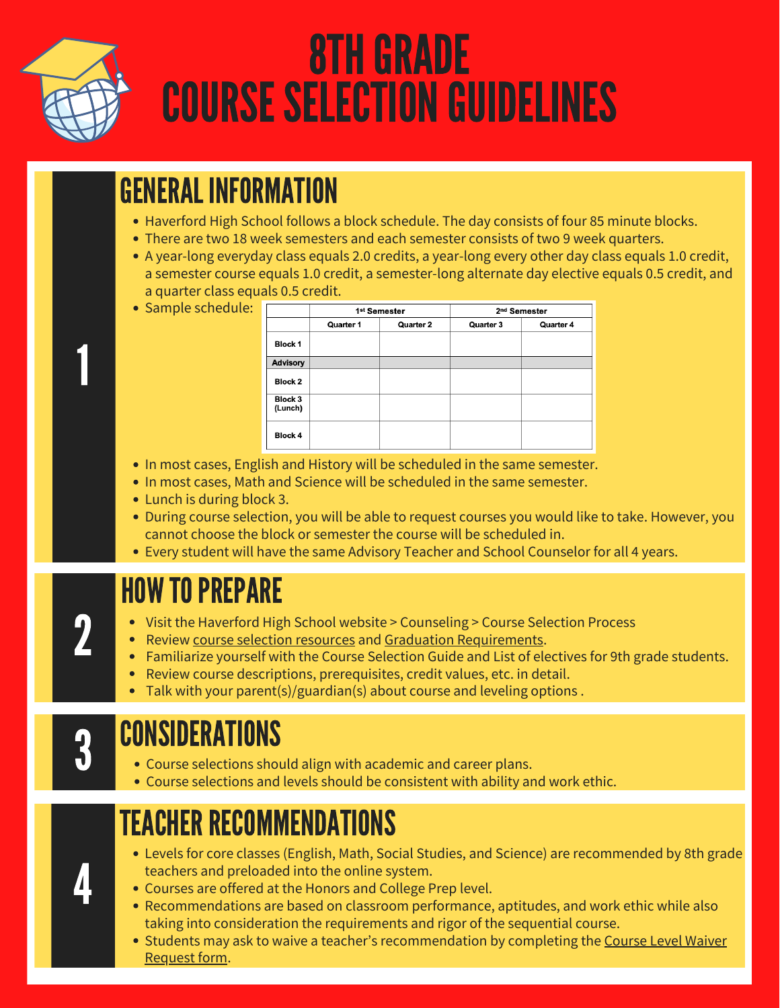

1

# **8TH GRADE COURSE SELECTION GUIDELINES**

# GENERAL INFORMATION

- Haverford High School follows a block schedule. The day consists of four 85 minute blocks.
- There are two 18 week semesters and each semester consists of two 9 week quarters.
- A year-long everyday class equals 2.0 credits, a year-long every other day class equals 1.0 credit, a semester course equals 1.0 credit, a semester-long alternate day elective equals 0.5 credit, and a quarter class equals 0.5 credit.
- Sample schedule:

|                           | 1 <sup>st</sup> Semester |           | 2 <sup>nd</sup> Semester |           |
|---------------------------|--------------------------|-----------|--------------------------|-----------|
|                           | Quarter 1                | Quarter 2 | Quarter 3                | Quarter 4 |
| Block 1                   |                          |           |                          |           |
| <b>Advisory</b>           |                          |           |                          |           |
| <b>Block 2</b>            |                          |           |                          |           |
| <b>Block 3</b><br>(Lunch) |                          |           |                          |           |
| <b>Block 4</b>            |                          |           |                          |           |

- In most cases, English and History will be scheduled in the same semester.
- In most cases, Math and Science will be scheduled in the same semester.
- Lunch is during block 3.
- During course selection, you will be able to request courses you would like to take. However, you cannot choose the block or semester the course will be scheduled in.
- Every student will have the same Advisory Teacher and School Counselor for all 4 years.

### **HOW TO PREPARE**

- Visit the Haverford High School website > Counseling > Course Selection Process
- Review course selection [resources](https://www.haverford.k12.pa.us/home-high-school/counseling/course-selection-process-2021) and Graduation [Requirements.](https://www.haverford.k12.pa.us/home-high-school/counseling/graduation-requirements) 2 **|** 
	- Familiarize yourself with the Course Selection Guide and List of electives for 9th grade students.
	- Review course descriptions, prerequisites, credit values, etc. in detail.
	- $\bullet$ Talk with your parent(s)/guardian(s) about course and leveling options .

4 |

# CONSIDERATIONS

- Course selections should align with academic and career plans.
- Course selections and levels should be consistent with ability and work ethic. 3

# TEACHER RECOMMENDATIONS

- Levels for core classes (English, Math, Social Studies, and Science) are recommended by 8th grade teachers and preloaded into the online system.
- Courses are offered at the Honors and College Prep level.
- Recommendations are based on classroom performance, aptitudes, and work ethic while also taking into consideration the requirements and rigor of the sequential course.
- Students may ask to waive a teacher's [recommendation](https://resources.finalsite.net/images/v1613676507/haverfordk12paus/evtlvsr4seflkgabic1j/CourseLevelWaiverRequest.pdf) by completing the Course Level Waiver Request form.